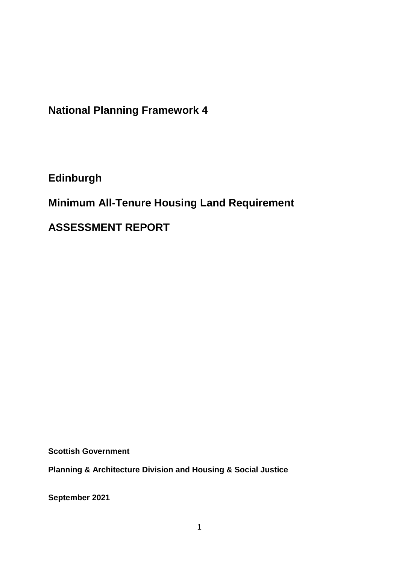**National Planning Framework 4**

**Edinburgh**

**Minimum All-Tenure Housing Land Requirement** 

**ASSESSMENT REPORT**

**Scottish Government**

**Planning & Architecture Division and Housing & Social Justice** 

**September 2021**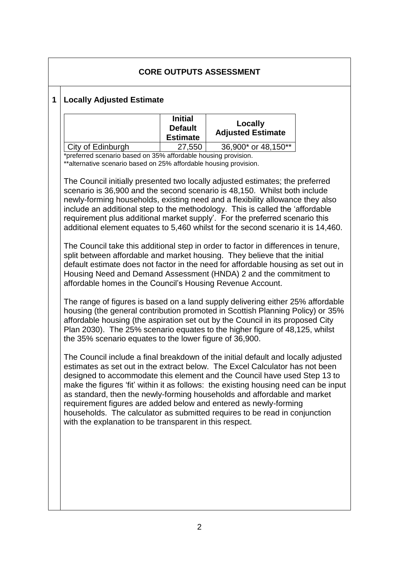# **CORE OUTPUTS ASSESSMENT**

### **1 Locally Adjusted Estimate**

|                   | <b>Initial</b><br><b>Default</b><br><b>Estimate</b> | Locally<br><b>Adjusted Estimate</b> |
|-------------------|-----------------------------------------------------|-------------------------------------|
| City of Edinburgh | 27,550                                              | 36,900* or 48,150**                 |

\*preferred scenario based on 35% affordable housing provision.

\*\*alternative scenario based on 25% affordable housing provision.

The Council initially presented two locally adjusted estimates; the preferred scenario is 36,900 and the second scenario is 48,150. Whilst both include newly-forming households, existing need and a flexibility allowance they also include an additional step to the methodology. This is called the 'affordable requirement plus additional market supply'. For the preferred scenario this additional element equates to 5,460 whilst for the second scenario it is 14,460.

The Council take this additional step in order to factor in differences in tenure, split between affordable and market housing. They believe that the initial default estimate does not factor in the need for affordable housing as set out in Housing Need and Demand Assessment (HNDA) 2 and the commitment to affordable homes in the Council's Housing Revenue Account.

The range of figures is based on a land supply delivering either 25% affordable housing (the general contribution promoted in Scottish Planning Policy) or 35% affordable housing (the aspiration set out by the Council in its proposed City Plan 2030). The 25% scenario equates to the higher figure of 48,125, whilst the 35% scenario equates to the lower figure of 36,900.

The Council include a final breakdown of the initial default and locally adjusted estimates as set out in the extract below. The Excel Calculator has not been designed to accommodate this element and the Council have used Step 13 to make the figures 'fit' within it as follows: the existing housing need can be input as standard, then the newly-forming households and affordable and market requirement figures are added below and entered as newly-forming households. The calculator as submitted requires to be read in conjunction with the explanation to be transparent in this respect.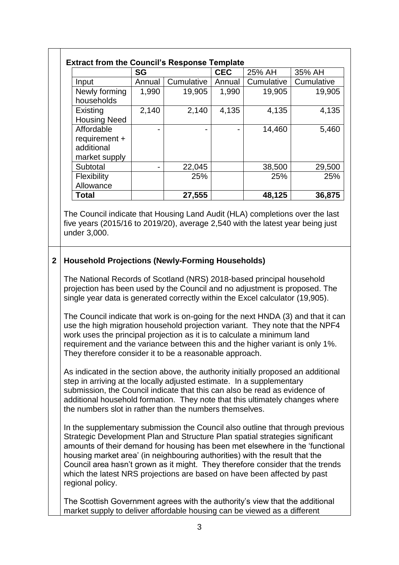|  |                                                                                                                                                                                                                                                                                                                                                                                                                                                                                                                                                                                                                                                                                                                                                                                                                                                                                                                                              | <b>SG</b> |            | <b>CEC</b> | 25% AH     | 35% AH     |  |
|--|----------------------------------------------------------------------------------------------------------------------------------------------------------------------------------------------------------------------------------------------------------------------------------------------------------------------------------------------------------------------------------------------------------------------------------------------------------------------------------------------------------------------------------------------------------------------------------------------------------------------------------------------------------------------------------------------------------------------------------------------------------------------------------------------------------------------------------------------------------------------------------------------------------------------------------------------|-----------|------------|------------|------------|------------|--|
|  | Input                                                                                                                                                                                                                                                                                                                                                                                                                                                                                                                                                                                                                                                                                                                                                                                                                                                                                                                                        | Annual    | Cumulative | Annual     | Cumulative | Cumulative |  |
|  | Newly forming<br>households                                                                                                                                                                                                                                                                                                                                                                                                                                                                                                                                                                                                                                                                                                                                                                                                                                                                                                                  | 1,990     | 19,905     | 1,990      | 19,905     | 19,905     |  |
|  | Existing<br><b>Housing Need</b>                                                                                                                                                                                                                                                                                                                                                                                                                                                                                                                                                                                                                                                                                                                                                                                                                                                                                                              | 2,140     | 2,140      | 4,135      | 4,135      | 4,135      |  |
|  | Affordable<br>requirement +<br>additional<br>market supply                                                                                                                                                                                                                                                                                                                                                                                                                                                                                                                                                                                                                                                                                                                                                                                                                                                                                   |           |            |            | 14,460     | 5,460      |  |
|  | Subtotal                                                                                                                                                                                                                                                                                                                                                                                                                                                                                                                                                                                                                                                                                                                                                                                                                                                                                                                                     |           | 22,045     |            | 38,500     | 29,500     |  |
|  | Flexibility<br>Allowance                                                                                                                                                                                                                                                                                                                                                                                                                                                                                                                                                                                                                                                                                                                                                                                                                                                                                                                     |           | 25%        |            | 25%        | 25%        |  |
|  | <b>Total</b>                                                                                                                                                                                                                                                                                                                                                                                                                                                                                                                                                                                                                                                                                                                                                                                                                                                                                                                                 |           | 27,555     |            | 48,125     | 36,875     |  |
|  |                                                                                                                                                                                                                                                                                                                                                                                                                                                                                                                                                                                                                                                                                                                                                                                                                                                                                                                                              |           |            |            |            |            |  |
|  | <b>Household Projections (Newly-Forming Households)</b><br>The National Records of Scotland (NRS) 2018-based principal household                                                                                                                                                                                                                                                                                                                                                                                                                                                                                                                                                                                                                                                                                                                                                                                                             |           |            |            |            |            |  |
|  | projection has been used by the Council and no adjustment is proposed. The<br>single year data is generated correctly within the Excel calculator (19,905).<br>The Council indicate that work is on-going for the next HNDA (3) and that it can<br>use the high migration household projection variant. They note that the NPF4<br>work uses the principal projection as it is to calculate a minimum land<br>requirement and the variance between this and the higher variant is only 1%.<br>They therefore consider it to be a reasonable approach.<br>As indicated in the section above, the authority initially proposed an additional<br>step in arriving at the locally adjusted estimate. In a supplementary<br>submission, the Council indicate that this can also be read as evidence of<br>additional household formation. They note that this ultimately changes where<br>the numbers slot in rather than the numbers themselves. |           |            |            |            |            |  |
|  |                                                                                                                                                                                                                                                                                                                                                                                                                                                                                                                                                                                                                                                                                                                                                                                                                                                                                                                                              |           |            |            |            |            |  |
|  |                                                                                                                                                                                                                                                                                                                                                                                                                                                                                                                                                                                                                                                                                                                                                                                                                                                                                                                                              |           |            |            |            |            |  |
|  | In the supplementary submission the Council also outline that through previous<br>Strategic Development Plan and Structure Plan spatial strategies significant<br>amounts of their demand for housing has been met elsewhere in the 'functional<br>housing market area' (in neighbouring authorities) with the result that the<br>Council area hasn't grown as it might. They therefore consider that the trends<br>which the latest NRS projections are based on have been affected by past<br>regional policy.                                                                                                                                                                                                                                                                                                                                                                                                                             |           |            |            |            |            |  |
|  | The Scottish Government agrees with the authority's view that the additional<br>market supply to deliver affordable housing can be viewed as a different                                                                                                                                                                                                                                                                                                                                                                                                                                                                                                                                                                                                                                                                                                                                                                                     |           |            |            |            |            |  |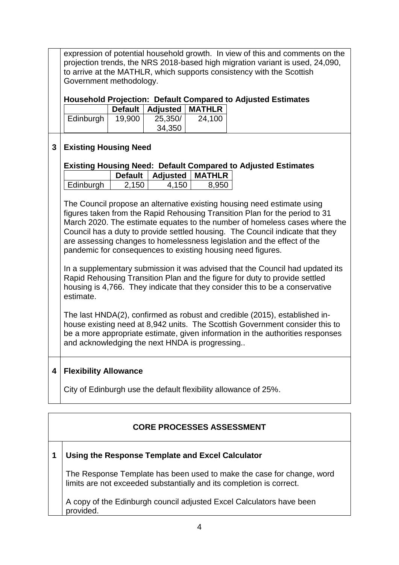expression of potential household growth. In view of this and comments on the projection trends, the NRS 2018-based high migration variant is used, 24,090, to arrive at the MATHLR, which supports consistency with the Scottish Government methodology. **Household Projection: Default Compared to Adjusted Estimates Default Adjusted MATHLR** Edinburgh | 19,900 | 25,350/ 34,350 24,100 **3 Existing Housing Need Existing Housing Need: Default Compared to Adjusted Estimates Default Adjusted MATHLR** Edinburgh 2.150 4.150 8.950 The Council propose an alternative existing housing need estimate using figures taken from the Rapid Rehousing Transition Plan for the period to 31 March 2020. The estimate equates to the number of homeless cases where the Council has a duty to provide settled housing. The Council indicate that they are assessing changes to homelessness legislation and the effect of the pandemic for consequences to existing housing need figures. In a supplementary submission it was advised that the Council had updated its Rapid Rehousing Transition Plan and the figure for duty to provide settled housing is 4,766. They indicate that they consider this to be a conservative estimate. The last HNDA(2), confirmed as robust and credible (2015), established inhouse existing need at 8,942 units. The Scottish Government consider this to be a more appropriate estimate, given information in the authorities responses

# **4 Flexibility Allowance**

City of Edinburgh use the default flexibility allowance of 25%.

# **CORE PROCESSES ASSESSMENT**

# **1 Using the Response Template and Excel Calculator**

and acknowledging the next HNDA is progressing..

The Response Template has been used to make the case for change, word limits are not exceeded substantially and its completion is correct.

A copy of the Edinburgh council adjusted Excel Calculators have been provided.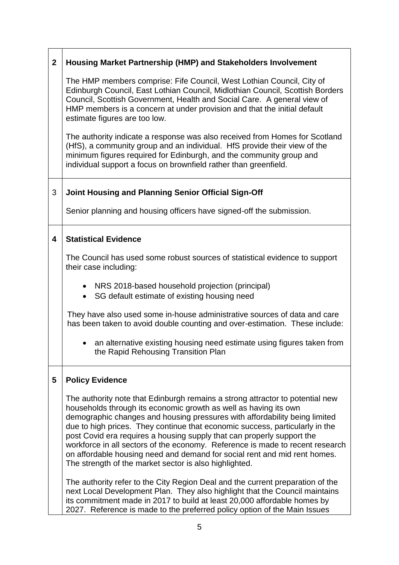| $\overline{2}$ | <b>Housing Market Partnership (HMP) and Stakeholders Involvement</b>                                                                                                                                                                                                                                                                                                                                                                                                                                                                                                                                              |  |  |  |  |  |
|----------------|-------------------------------------------------------------------------------------------------------------------------------------------------------------------------------------------------------------------------------------------------------------------------------------------------------------------------------------------------------------------------------------------------------------------------------------------------------------------------------------------------------------------------------------------------------------------------------------------------------------------|--|--|--|--|--|
|                | The HMP members comprise: Fife Council, West Lothian Council, City of<br>Edinburgh Council, East Lothian Council, Midlothian Council, Scottish Borders<br>Council, Scottish Government, Health and Social Care. A general view of<br>HMP members is a concern at under provision and that the initial default<br>estimate figures are too low.                                                                                                                                                                                                                                                                    |  |  |  |  |  |
|                | The authority indicate a response was also received from Homes for Scotland<br>(HfS), a community group and an individual. HfS provide their view of the<br>minimum figures required for Edinburgh, and the community group and<br>individual support a focus on brownfield rather than greenfield.                                                                                                                                                                                                                                                                                                               |  |  |  |  |  |
| 3              | Joint Housing and Planning Senior Official Sign-Off                                                                                                                                                                                                                                                                                                                                                                                                                                                                                                                                                               |  |  |  |  |  |
|                | Senior planning and housing officers have signed-off the submission.                                                                                                                                                                                                                                                                                                                                                                                                                                                                                                                                              |  |  |  |  |  |
| 4              | <b>Statistical Evidence</b>                                                                                                                                                                                                                                                                                                                                                                                                                                                                                                                                                                                       |  |  |  |  |  |
|                | The Council has used some robust sources of statistical evidence to support<br>their case including:                                                                                                                                                                                                                                                                                                                                                                                                                                                                                                              |  |  |  |  |  |
|                | • NRS 2018-based household projection (principal)<br>SG default estimate of existing housing need                                                                                                                                                                                                                                                                                                                                                                                                                                                                                                                 |  |  |  |  |  |
|                | They have also used some in-house administrative sources of data and care<br>has been taken to avoid double counting and over-estimation. These include:                                                                                                                                                                                                                                                                                                                                                                                                                                                          |  |  |  |  |  |
|                | an alternative existing housing need estimate using figures taken from<br>$\bullet$<br>the Rapid Rehousing Transition Plan                                                                                                                                                                                                                                                                                                                                                                                                                                                                                        |  |  |  |  |  |
| 5              | <b>Policy Evidence</b>                                                                                                                                                                                                                                                                                                                                                                                                                                                                                                                                                                                            |  |  |  |  |  |
|                | The authority note that Edinburgh remains a strong attractor to potential new<br>households through its economic growth as well as having its own<br>demographic changes and housing pressures with affordability being limited<br>due to high prices. They continue that economic success, particularly in the<br>post Covid era requires a housing supply that can properly support the<br>workforce in all sectors of the economy. Reference is made to recent research<br>on affordable housing need and demand for social rent and mid rent homes.<br>The strength of the market sector is also highlighted. |  |  |  |  |  |
|                | The authority refer to the City Region Deal and the current preparation of the<br>next Local Development Plan. They also highlight that the Council maintains<br>its commitment made in 2017 to build at least 20,000 affordable homes by<br>2027. Reference is made to the preferred policy option of the Main Issues                                                                                                                                                                                                                                                                                            |  |  |  |  |  |